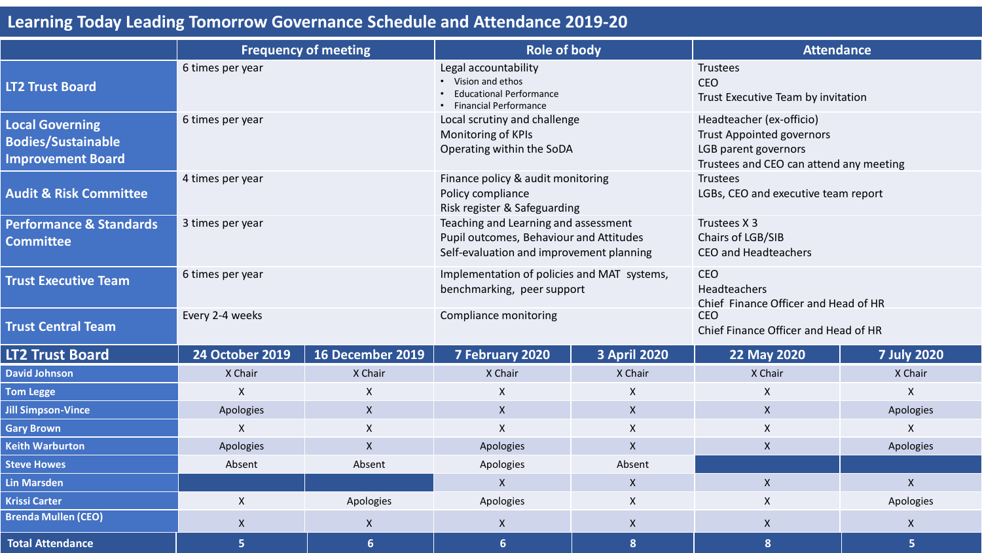## **Learning Today Leading Tomorrow Governance Schedule and Attendance 2019-20**

|                                                                                 | <b>Frequency of meeting</b> |                           | <b>Role of body</b>                                                                                                         |                     | <b>Attendance</b>                                                                                                               |                    |
|---------------------------------------------------------------------------------|-----------------------------|---------------------------|-----------------------------------------------------------------------------------------------------------------------------|---------------------|---------------------------------------------------------------------------------------------------------------------------------|--------------------|
| <b>LT2 Trust Board</b>                                                          | 6 times per year            |                           | Legal accountability<br>• Vision and ethos<br><b>Educational Performance</b><br>• Financial Performance                     |                     | <b>Trustees</b><br><b>CEO</b><br>Trust Executive Team by invitation                                                             |                    |
| <b>Local Governing</b><br><b>Bodies/Sustainable</b><br><b>Improvement Board</b> | 6 times per year            |                           | Local scrutiny and challenge<br>Monitoring of KPIs<br>Operating within the SoDA                                             |                     | Headteacher (ex-officio)<br><b>Trust Appointed governors</b><br>LGB parent governors<br>Trustees and CEO can attend any meeting |                    |
| <b>Audit &amp; Risk Committee</b>                                               | 4 times per year            |                           | Finance policy & audit monitoring<br>Policy compliance<br>Risk register & Safeguarding                                      |                     | Trustees<br>LGBs, CEO and executive team report                                                                                 |                    |
| <b>Performance &amp; Standards</b><br><b>Committee</b>                          | 3 times per year            |                           | Teaching and Learning and assessment<br>Pupil outcomes, Behaviour and Attitudes<br>Self-evaluation and improvement planning |                     | Trustees X 3<br>Chairs of LGB/SIB<br><b>CEO and Headteachers</b>                                                                |                    |
| <b>Trust Executive Team</b>                                                     | 6 times per year            |                           | Implementation of policies and MAT systems,<br>benchmarking, peer support                                                   |                     | <b>CEO</b><br>Headteachers<br>Chief Finance Officer and Head of HR                                                              |                    |
| <b>Trust Central Team</b>                                                       | Every 2-4 weeks             |                           | Compliance monitoring                                                                                                       |                     | <b>CEO</b><br>Chief Finance Officer and Head of HR                                                                              |                    |
| <b>LT2 Trust Board</b>                                                          | <b>24 October 2019</b>      | 16 December 2019          | 7 February 2020                                                                                                             | <b>3 April 2020</b> | 22 May 2020                                                                                                                     | <b>7 July 2020</b> |
| <b>David Johnson</b>                                                            | X Chair                     | X Chair                   | X Chair                                                                                                                     | X Chair             | X Chair                                                                                                                         | X Chair            |
| <b>Tom Legge</b>                                                                | X                           | $\boldsymbol{\mathsf{X}}$ | X                                                                                                                           | $\mathsf{X}$        | X                                                                                                                               | $\mathsf{X}$       |
| <b>Jill Simpson-Vince</b>                                                       | Apologies                   | $\boldsymbol{X}$          | $\mathsf{X}$                                                                                                                | $\mathsf{X}$        | $\mathsf{X}$                                                                                                                    | Apologies          |
| <b>Gary Brown</b>                                                               | $\sf X$<br>$\mathsf{X}$     |                           | $\mathsf{X}$                                                                                                                | $\mathsf{X}$        | $\mathsf{X}$                                                                                                                    | $\mathsf{X}$       |
| <b>Keith Warburton</b>                                                          | Apologies<br>$\mathsf{X}$   |                           | Apologies                                                                                                                   | $\mathsf{X}$        | $\pmb{\times}$                                                                                                                  | Apologies          |
| <b>Steve Howes</b>                                                              | Absent<br>Absent            |                           | Apologies                                                                                                                   | Absent              |                                                                                                                                 |                    |
| <b>Lin Marsden</b>                                                              |                             |                           | $\mathsf{X}$                                                                                                                | $\mathsf{X}$        | $\mathsf{X}$                                                                                                                    | $\mathsf{X}$       |
| <b>Krissi Carter</b>                                                            | $\pmb{\mathsf{X}}$          | Apologies                 | Apologies                                                                                                                   | X                   | X                                                                                                                               | Apologies          |
| <b>Brenda Mullen (CEO)</b>                                                      | $\boldsymbol{\mathsf{X}}$   | $\boldsymbol{X}$          | $\boldsymbol{X}$                                                                                                            | $\mathsf{X}$        | $\boldsymbol{X}$                                                                                                                | $\mathsf{X}$       |
| <b>Total Attendance</b>                                                         | 5                           | $6\phantom{1}6$           | $6\phantom{1}6$                                                                                                             | 8 <sup>°</sup>      | 8                                                                                                                               | 5                  |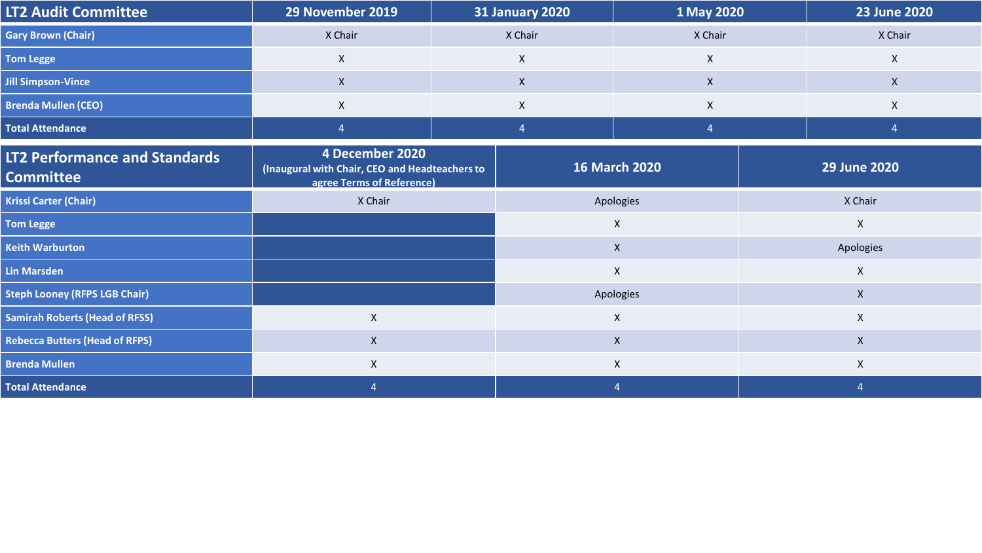| <b>LT2 Audit Committee</b>                        | 29 November 2019                                                                               |                      | <b>31 January 2020</b><br>1 May 2020 |                |                     | <b>23 June 2020</b> |  |
|---------------------------------------------------|------------------------------------------------------------------------------------------------|----------------------|--------------------------------------|----------------|---------------------|---------------------|--|
| <b>Gary Brown (Chair)</b>                         | X Chair                                                                                        | X Chair              |                                      | X Chair        |                     | X Chair             |  |
| <b>Tom Legge</b>                                  | X                                                                                              | $\mathsf{X}$         |                                      | $\mathsf{X}$   |                     | $\pmb{\times}$      |  |
| <b>Jill Simpson-Vince</b>                         | $\mathsf{X}$                                                                                   | $\mathsf{X}$         |                                      | $\mathsf{X}$   |                     | $\mathsf{X}$        |  |
| <b>Brenda Mullen (CEO)</b>                        | X                                                                                              | $\mathsf{X}$         |                                      | $\mathsf{X}$   |                     | $\mathsf{X}$        |  |
| <b>Total Attendance</b>                           | $\overline{4}$                                                                                 | $\overline{4}$       |                                      | $\overline{4}$ |                     | $\overline{4}$      |  |
| LT2 Performance and Standards<br><b>Committee</b> | 4 December 2020<br>(Inaugural with Chair, CEO and Headteachers to<br>agree Terms of Reference) | <b>16 March 2020</b> |                                      |                | <b>29 June 2020</b> |                     |  |
| <b>Krissi Carter (Chair)</b>                      | X Chair                                                                                        |                      | Apologies                            |                | X Chair             |                     |  |
| <b>Tom Legge</b>                                  |                                                                                                |                      | $\pmb{\mathsf{X}}$                   |                | $\mathsf{X}$        |                     |  |
| <b>Keith Warburton</b>                            |                                                                                                |                      | $\mathsf{X}$                         |                | Apologies           |                     |  |
| <b>Lin Marsden</b>                                |                                                                                                |                      | $\pmb{\mathsf{X}}$                   |                | $\mathsf{X}$        |                     |  |
| <b>Steph Looney (RFPS LGB Chair)</b>              |                                                                                                |                      |                                      | Apologies      |                     | $\mathsf{X}$        |  |
| <b>Samirah Roberts (Head of RFSS)</b>             | $\mathsf X$                                                                                    |                      | $\pmb{\mathsf{X}}$                   |                | $\mathsf{X}$        |                     |  |
| <b>Rebecca Butters (Head of RFPS)</b>             | $\mathsf{X}$                                                                                   |                      | $\mathsf{X}$                         |                |                     | $\mathsf{X}$        |  |
| <b>Brenda Mullen</b>                              | X                                                                                              |                      | $\pmb{\mathsf{X}}$                   |                | $\boldsymbol{X}$    |                     |  |
| <b>Total Attendance</b>                           | $\overline{4}$                                                                                 |                      |                                      |                |                     | $\overline{4}$      |  |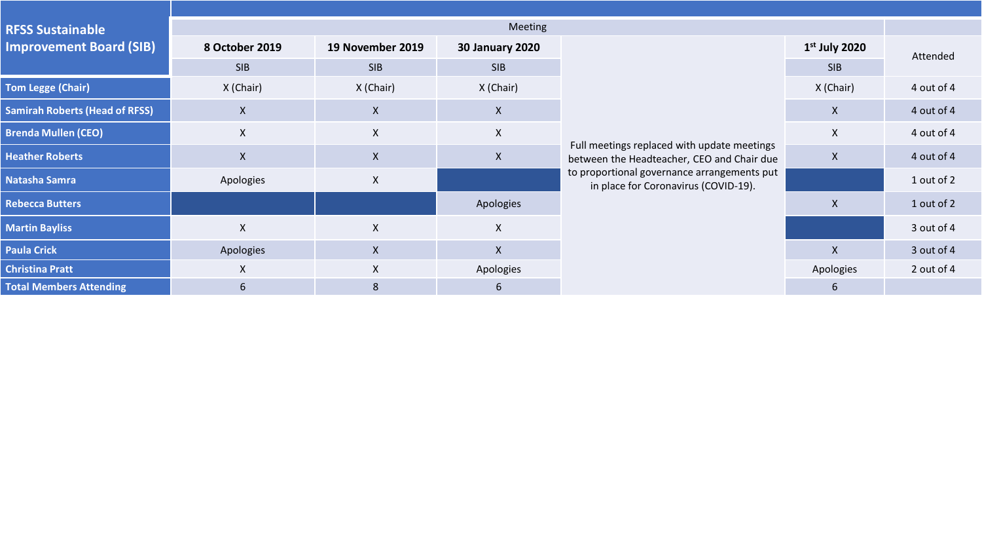| <b>RFSS Sustainable</b>               | Meeting                   |                           |                        |                                                                                           |                 |            |  |
|---------------------------------------|---------------------------|---------------------------|------------------------|-------------------------------------------------------------------------------------------|-----------------|------------|--|
| <b>Improvement Board (SIB)</b>        | 8 October 2019            | 19 November 2019          | <b>30 January 2020</b> |                                                                                           | $1st$ July 2020 | Attended   |  |
|                                       | <b>SIB</b>                | <b>SIB</b>                | <b>SIB</b>             |                                                                                           | <b>SIB</b>      |            |  |
| <b>Tom Legge (Chair)</b>              | X (Chair)                 | X (Chair)                 | X (Chair)              |                                                                                           | X (Chair)       | 4 out of 4 |  |
| <b>Samirah Roberts (Head of RFSS)</b> | $\pmb{\mathsf{X}}$        | $\boldsymbol{\mathsf{X}}$ | X                      |                                                                                           | $\mathsf{X}$    | 4 out of 4 |  |
| <b>Brenda Mullen (CEO)</b>            | $\mathsf X$               | $\boldsymbol{\mathsf{X}}$ | X.                     |                                                                                           | $\mathsf{X}$    | 4 out of 4 |  |
| <b>Heather Roberts</b>                | $\boldsymbol{\mathsf{X}}$ | $\pmb{\times}$            | $\mathsf{X}$           | Full meetings replaced with update meetings<br>between the Headteacher, CEO and Chair due | $\mathsf{X}$    | 4 out of 4 |  |
| Natasha Samra                         | Apologies                 | $\mathsf{X}$              |                        | to proportional governance arrangements put<br>in place for Coronavirus (COVID-19).       |                 | 1 out of 2 |  |
| <b>Rebecca Butters</b>                |                           |                           | Apologies              |                                                                                           | $\mathsf{X}$    | 1 out of 2 |  |
| <b>Martin Bayliss</b>                 | $\boldsymbol{\mathsf{X}}$ | $\pmb{\mathsf{X}}$        | $\mathsf{X}$           |                                                                                           |                 | 3 out of 4 |  |
| <b>Paula Crick</b>                    | Apologies                 | $\mathsf{X}$              | X                      |                                                                                           | $\mathsf{X}$    | 3 out of 4 |  |
| <b>Christina Pratt</b>                | X                         | X                         | Apologies              |                                                                                           | Apologies       | 2 out of 4 |  |
| <b>Total Members Attending</b>        | $6\,$                     | $\bf 8$                   | b                      |                                                                                           | $\mathbf b$     |            |  |